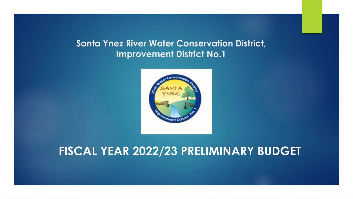#### **Santa Ynez River Water Conservation District, Improvement District No.1**



#### **FISCAL YEAR 2022/23 PRELIMINARY BUDGET**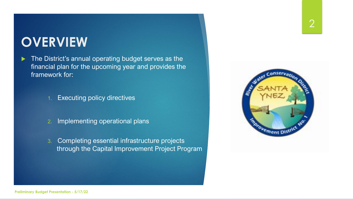# **OVERVIEW**

The District's annual operating budget serves as the financial plan for the upcoming year and provides the framework for:

1. Executing policy directives

- 2. Implementing operational plans
- 3. Completing essential infrastructure projects through the Capital Improvement Project Program

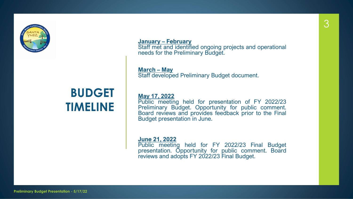

#### **BUDGET TIMELINE**

**January – February** Staff met and identified ongoing projects and operational needs for the Preliminary Budget.

**March – May** Staff developed Preliminary Budget document.

**May 17, 2022**

Public meeting held for presentation of FY 2022/23 Preliminary Budget. Opportunity for public comment. Board reviews and provides feedback prior to the Final Budget presentation in June.

**June 21, 2022**

Public meeting held for FY 2022/23 Final Budget presentation. Opportunity for public comment. Board reviews and adopts FY 2022/23 Final Budget.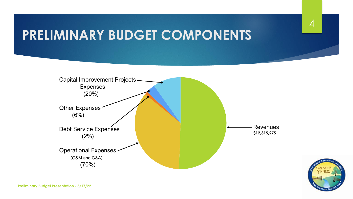# **PRELIMINARY BUDGET COMPONENTS**



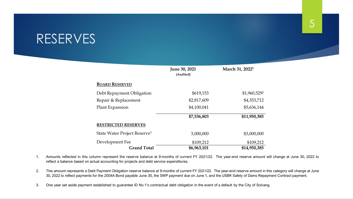#### RESERVES

|                                          | June 30, 2021<br>(Audited) | March 31, 2022 <sup>1</sup> |  |  |  |
|------------------------------------------|----------------------------|-----------------------------|--|--|--|
| <b>BOARD RESERVED</b>                    |                            |                             |  |  |  |
| Debt Repayment Obligation                | \$619,153                  | \$1,960,5292                |  |  |  |
| Repair & Replacement                     | \$2,817,609                | \$4,353,712                 |  |  |  |
| Plant Expansion                          | \$4,100,041                | \$5,636,144                 |  |  |  |
|                                          | \$7,536,803                | \$11,950,385                |  |  |  |
| <b>RESTRICTED RESERVES</b>               |                            |                             |  |  |  |
| State Water Project Reserve <sup>3</sup> | 3,000,000                  | \$3,000,000                 |  |  |  |
| Development Fee                          | \$109,212                  | \$109,212                   |  |  |  |
| <b>Grand Total</b>                       | \$6,963,101                | \$14,950,385                |  |  |  |

- 1. Amounts reflected in this column represent the reserve balance at 9-months of current FY 2021/22. The year-end reserve amount will change at June 30, 2022 to reflect a balance based on actual accounting for projects and debt service expenditures.
- 2. This amount represents a Debt Payment Obligation reserve balance at 9-months of current FY 2021/22. The year-end reserve amount in this category will change at June 30, 2022 to reflect payments for the 2004A Bond payable June 30, the SWP payment due on June 1, and the USBR Safety of Dams Repayment Contract payment.
- 3. One year set aside payment established to guarantee ID No.1's contractual debt obligation in the event of a default by the City of Solvang.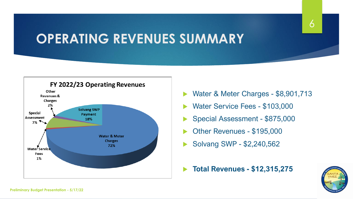# **OPERATING REVENUES SUMMARY**



- Water & Meter Charges \$8,901,713
- Water Service Fees \$103,000
- Special Assessment \$875,000
- Other Revenues \$195,000
- Solvang SWP \$2,240,562
- **Total Revenues - \$12,315,275**

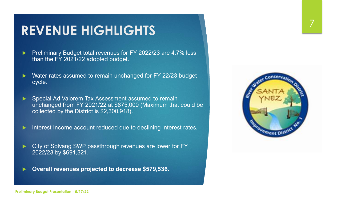## **REVENUE HIGHLIGHTS**

- Preliminary Budget total revenues for FY 2022/23 are 4.7% less than the FY 2021/22 adopted budget.
- Water rates assumed to remain unchanged for FY 22/23 budget cycle.
- Special Ad Valorem Tax Assessment assumed to remain unchanged from FY 2021/22 at \$875,000 (Maximum that could be collected by the District is \$2,300,918).
- Interest Income account reduced due to declining interest rates.
- City of Solvang SWP passthrough revenues are lower for FY 2022/23 by \$691,321.
- **Overall revenues projected to decrease \$579,536.**

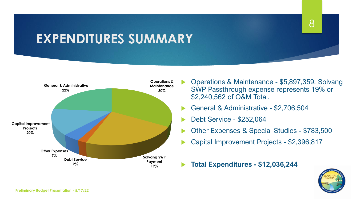# **EXPENDITURES SUMMARY**



- Operations & Maintenance \$5,897,359. Solvang SWP Passthrough expense represents 19% or \$2,240,562 of O&M Total.
- General & Administrative \$2,706,504
- Debt Service \$252,064
- Other Expenses & Special Studies \$783,500
- Capital Improvement Projects \$2,396,817
- **Total Expenditures - \$12,036,244**

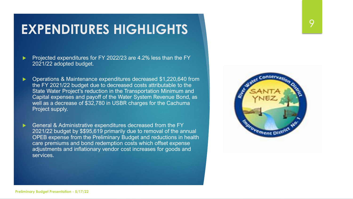### **EXPENDITURES HIGHLIGHTS**

 Projected expenditures for FY 2022/23 are 4.2% less than the FY 2021/22 adopted budget.

- Operations & Maintenance expenditures decreased \$1,220,640 from the FY 2021/22 budget due to decreased costs attributable to the State Water Project's reduction in the Transportation Minimum and Capital expenses and payoff of the Water System Revenue Bond, as well as a decrease of \$32,780 in USBR charges for the Cachuma Project supply.
- General & Administrative expenditures decreased from the FY 2021/22 budget by \$\$95,619 primarily due to removal of the annual OPEB expense from the Preliminary Budget and reductions in health care premiums and bond redemption costs which offset expense adjustments and inflationary vendor cost increases for goods and services.

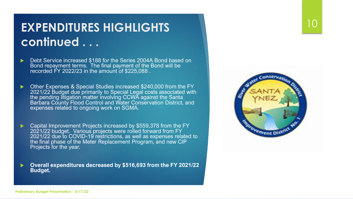#### **EXPENDITURES HIGHLIGHTS continued . . .**

- Debt Service increased \$188 for the Series 2004A Bond based on Bond repayment terms. The final payment of the Bond will be recorded FY 2022/23 in the amount of \$225,088 .
- Other Expenses & Special Studies increased \$240,000 from the FY 2021/22 Budget due primarily to Special Legal costs associated with the pending litigation matter involving CCWA against the Santa Barbara County Flood Control and Water Conservation District, and expenses related to ongoing work on SGMA.
- Capital Improvement Projects increased by \$559,378 from the FY 2021/22 budget. Various projects were rolled forward from FY 2021/22 due to COVID-19 restrictions, as well as expenses related to the final phase of the Meter Replacement Program, and new CIP Projects for the year.
- **Overall expenditures decreased by \$516,693 from the FY 2021/22 Budget.**



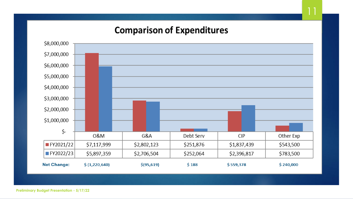#### **Comparison of Expenditures**



**Preliminary Budget Presentation - 5/17/22**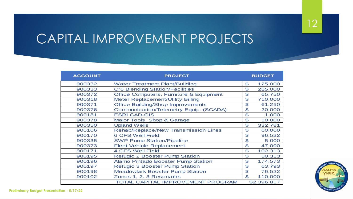# CAPITAL IMPROVEMENT PROJECTS

| <b>ACCOUNT</b> | <b>PROJECT</b>                                     |                | <b>BUDGET</b> |  |  |
|----------------|----------------------------------------------------|----------------|---------------|--|--|
| 900332         | <b>Water Treatment Plant/Building</b>              | $\mathfrak{P}$ | 125,000       |  |  |
| 900333         | <b>Cr6 Blending Station/Facilities</b>             | \$             | 285,000       |  |  |
| 900372         | <b>Office Computers, Furniture &amp; Equipment</b> | \$             | 65,750        |  |  |
| 900318         | <b>Meter Replacement/Utility Billing</b>           | \$             | 710,000       |  |  |
| 900371         | <b>Office Building/Shop Improvements</b>           | $\mathfrak{P}$ | 61,250        |  |  |
| 900376         | <b>Communication/Telemetry Equip. (SCADA)</b>      | $\mathfrak{P}$ | 20,000        |  |  |
| 900181         | <b>ESRI CAD-GIS</b>                                | $\mathfrak{P}$ | 1,000         |  |  |
| 900378         | Major Tools, Shop & Garage                         | \$             | 10,000        |  |  |
| 900350         | <b>Upland Wells</b>                                | \$             | 332,781       |  |  |
| 900106         | <b>Rehab/Replace/New Transmission Lines</b>        | \$             | 60,000        |  |  |
| 900170         | <b>6 CFS Well Field</b>                            | \$             | 96,522        |  |  |
| 900335         | <b>SWP Pump Station/Pipeline</b>                   | \$             | 5,000         |  |  |
| 900373         | <b>Fleet Vehicle Replacement</b>                   | \$             | 47,000        |  |  |
| 900171         | <b>4 CFS Well Field</b>                            | $\mathfrak{S}$ | 102,313       |  |  |
| 900195         | <b>Refugio 2 Booster Pump Station</b>              | \$             | 50,313        |  |  |
| 900196         | <b>Alamo Pintado Booster Pump Station</b>          | $\mathfrak{S}$ | 174,573       |  |  |
| 900197         | <b>Refugio 3 Booster Pump Station</b>              | \$             | 63,793        |  |  |
| 900198         | <b>Meadowlark Booster Pump Station</b>             | $\mathfrak{P}$ | 76,522        |  |  |
| 900102         | Zones 1, 2. 3 Reservoirs                           | $\mathfrak{L}$ | 110,000       |  |  |
|                |                                                    | \$2,396,817    |               |  |  |

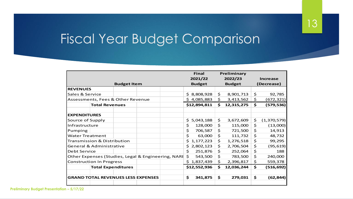# Fiscal Year Budget Comparison

|                                                    |  |  |               |               | <b>Final</b><br>Preliminary |            |            |                 |             |
|----------------------------------------------------|--|--|---------------|---------------|-----------------------------|------------|------------|-----------------|-------------|
|                                                    |  |  |               |               | 2021/22                     | 2022/23    |            | <b>Increase</b> |             |
| <b>Budget Item</b>                                 |  |  | <b>Budget</b> | <b>Budget</b> |                             | (Decrease) |            |                 |             |
| <b>REVENUES</b>                                    |  |  |               |               |                             |            |            |                 |             |
| Sales & Service                                    |  |  |               | \$.           | 8,808,928                   | \$         | 8,901,713  | \$              | 92,785      |
| Assessments, Fees & Other Revenue                  |  |  | \$4,085,883   | \$            | 3,413,562                   | \$         | (672, 321) |                 |             |
| <b>Total Revenues</b>                              |  |  |               |               | \$12,894,811                | \$         | 12,315,275 | \$              | (579, 536)  |
|                                                    |  |  |               |               |                             |            |            |                 |             |
| <b>EXPENDITURES</b>                                |  |  |               |               |                             |            |            |                 |             |
| Source of Supply                                   |  |  |               | \$.           | 5,043,188                   | \$         | 3,672,609  | \$              | (1,370,579) |
| Infrastructure                                     |  |  |               | \$            | 128,000                     | \$         | 115,000    | \$              | (13,000)    |
| Pumping                                            |  |  |               | \$            | 706,587                     | \$         | 721,500    | \$              | 14,913      |
| <b>Water Treatment</b>                             |  |  |               | \$            | 63,000                      | \$         | 111,732    | \$              | 48,732      |
| <b>Transmission &amp; Distribution</b>             |  |  |               | \$.           | 1,177,223                   | \$         | 1,276,518  | \$              | 99,295      |
| General & Administrative                           |  |  |               | \$            | 2,802,123                   | \$         | 2,706,504  | \$              | (95, 619)   |
| Debt Service                                       |  |  |               | \$            | 251,876                     | \$         | 252,064    | \$              | 188         |
| Other Expenses (Studies, Legal & Engineering, NARI |  |  |               | \$            | 543,500                     | \$         | 783,500    | \$              | 240,000     |
| <b>Construction In Progress</b>                    |  |  |               |               | \$1,837,439                 | \$         | 2,396,817  | \$              | 559,378     |
| <b>Total Expenditures</b>                          |  |  |               |               | \$12,552,936                | \$         | 12,036,244 | \$              | (516, 692)  |
|                                                    |  |  |               |               |                             |            |            |                 |             |
| <b>GRAND TOTAL REVENUES LESS EXPENSES</b>          |  |  |               | \$            | 341,875                     | \$         | 279,031    | \$              | (62, 844)   |
|                                                    |  |  |               |               |                             |            |            |                 |             |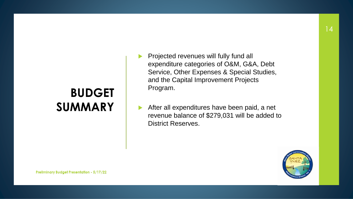### **BUDGET SUMMARY**

- Projected revenues will fully fund all expenditure categories of O&M, G&A, Debt Service, Other Expenses & Special Studies, and the Capital Improvement Projects Program.
- After all expenditures have been paid, a net revenue balance of \$279,031 will be added to District Reserves.